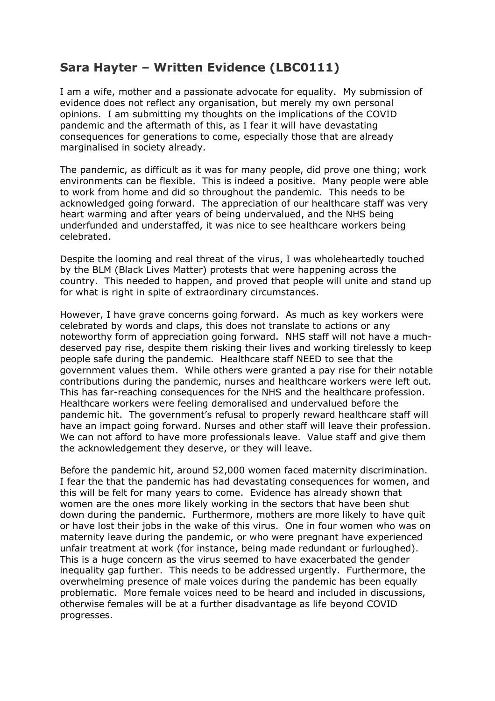## **Sara Hayter – Written Evidence (LBC0111)**

I am a wife, mother and a passionate advocate for equality. My submission of evidence does not reflect any organisation, but merely my own personal opinions. I am submitting my thoughts on the implications of the COVID pandemic and the aftermath of this, as I fear it will have devastating consequences for generations to come, especially those that are already marginalised in society already.

The pandemic, as difficult as it was for many people, did prove one thing; work environments can be flexible. This is indeed a positive. Many people were able to work from home and did so throughout the pandemic. This needs to be acknowledged going forward. The appreciation of our healthcare staff was very heart warming and after years of being undervalued, and the NHS being underfunded and understaffed, it was nice to see healthcare workers being celebrated.

Despite the looming and real threat of the virus, I was wholeheartedly touched by the BLM (Black Lives Matter) protests that were happening across the country. This needed to happen, and proved that people will unite and stand up for what is right in spite of extraordinary circumstances.

However, I have grave concerns going forward. As much as key workers were celebrated by words and claps, this does not translate to actions or any noteworthy form of appreciation going forward. NHS staff will not have a muchdeserved pay rise, despite them risking their lives and working tirelessly to keep people safe during the pandemic. Healthcare staff NEED to see that the government values them. While others were granted a pay rise for their notable contributions during the pandemic, nurses and healthcare workers were left out. This has far-reaching consequences for the NHS and the healthcare profession. Healthcare workers were feeling demoralised and undervalued before the pandemic hit. The government's refusal to properly reward healthcare staff will have an impact going forward. Nurses and other staff will leave their profession. We can not afford to have more professionals leave. Value staff and give them the acknowledgement they deserve, or they will leave.

Before the pandemic hit, around 52,000 women faced maternity discrimination. I fear the that the pandemic has had devastating consequences for women, and this will be felt for many years to come. Evidence has already shown that women are the ones more likely working in the sectors that have been shut down during the pandemic. Furthermore, mothers are more likely to have quit or have lost their jobs in the wake of this virus. One in four women who was on maternity leave during the pandemic, or who were pregnant have experienced unfair treatment at work (for instance, being made redundant or furloughed). This is a huge concern as the virus seemed to have exacerbated the gender inequality gap further. This needs to be addressed urgently. Furthermore, the overwhelming presence of male voices during the pandemic has been equally problematic. More female voices need to be heard and included in discussions, otherwise females will be at a further disadvantage as life beyond COVID progresses.